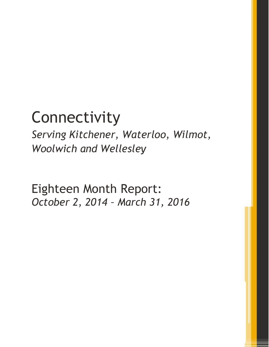# **Connectivity**

*Serving Kitchener, Waterloo, Wilmot, Woolwich and Wellesley*

Eighteen Month Report: *October 2, 2014 – March 31, 2016*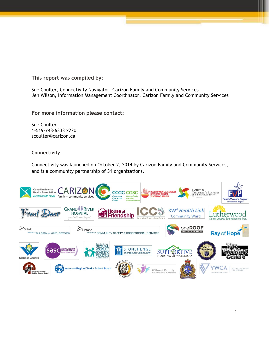**This report was compiled by:**

Sue Coulter, Connectivity Navigator, Carizon Family and Community Services Jen Wilson, Information Management Coordinator, Carizon Family and Community Services

**For more information please contact:**

Sue Coulter 1-519-743-6333 x220 scoulter@carizon.ca

**Connectivity** 

Connectivity was launched on October 2, 2014 by Carizon Family and Community Services, and is a community partnership of 31 organizations.

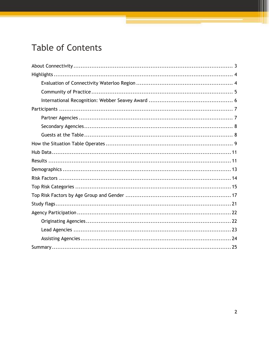# **Table of Contents**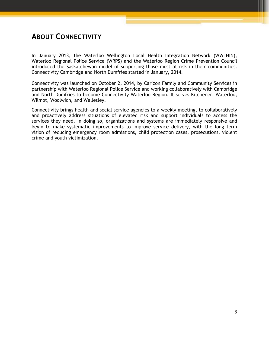# <span id="page-3-0"></span>**ABOUT CONNECTIVITY**

In January 2013, the Waterloo Wellington Local Health Integration Network (WWLHIN), Waterloo Regional Police Service (WRPS) and the Waterloo Region Crime Prevention Council introduced the Saskatchewan model of supporting those most at risk in their communities. Connectivity Cambridge and North Dumfries started in January, 2014.

Connectivity was launched on October 2, 2014, by Carizon Family and Community Services in partnership with Waterloo Regional Police Service and working collaboratively with Cambridge and North Dumfries to become Connectivity Waterloo Region. It serves Kitchener, Waterloo, Wilmot, Woolwich, and Wellesley.

Connectivity brings health and social service agencies to a weekly meeting, to collaboratively and proactively address situations of elevated risk and support individuals to access the services they need. In doing so, organizations and systems are immediately responsive and begin to make systematic improvements to improve service delivery, with the long term vision of reducing emergency room admissions, child protection cases, prosecutions, violent crime and youth victimization.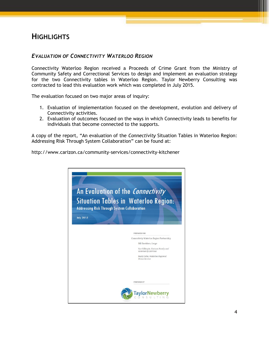# <span id="page-4-0"></span>**HIGHLIGHTS**

## <span id="page-4-1"></span>*EVALUATION OF CONNECTIVITY WATERLOO REGION*

Connectivity Waterloo Region received a Proceeds of Crime Grant from the Ministry of Community Safety and Correctional Services to design and implement an evaluation strategy for the two Connectivity tables in Waterloo Region. Taylor Newberry Consulting was contracted to lead this evaluation work which was completed in July 2015.

The evaluation focused on two major areas of inquiry:

- 1. Evaluation of implementation focused on the development, evolution and delivery of Connectivity activities.
- 2. Evaluation of outcomes focused on the ways in which Connectivity leads to benefits for individuals that become connected to the supports.

A copy of the report, "An evaluation of the *Connectivity* Situation Tables in Waterloo Region: Addressing Risk Through System Collaboration" can be found at:

http://www.carizon.ca/community-services/connectivity-kitchener

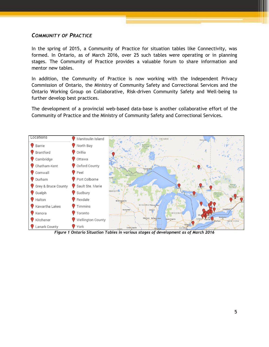## <span id="page-5-0"></span>*COMMUNITY OF PRACTICE*

In the spring of 2015, a Community of Practice for situation tables like Connectivity, was formed. In Ontario, as of March 2016, over 25 such tables were operating or in planning stages. The Community of Practice provides a valuable forum to share information and mentor new tables.

In addition, the Community of Practice is now working with the Independent Privacy Commission of Ontario, the Ministry of Community Safety and Correctional Services and the Ontario Working Group on Collaborative, Risk-driven Community Safety and Well-being to further develop best practices.

The development of a provincial web-based data-base is another collaborative effort of the Community of Practice and the Ministry of Community Safety and Correctional Services.



*Figure 1 Ontario Situation Tables in various stages of development as of March 2016*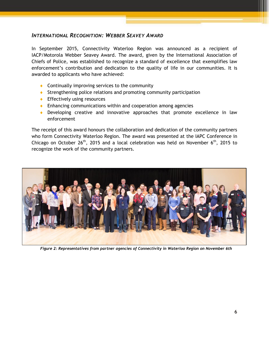## <span id="page-6-0"></span>*INTERNATIONAL RECOGNITION: WEBBER SEAVEY AWARD*

In September 2015, Connectivity Waterloo Region was announced as a recipient of IACP/Motorola Webber Seavey Award. The award, given by the International Association of Chiefs of Police, was established to recognize a standard of excellence that exemplifies law enforcement's contribution and dedication to the quality of life in our communities. It is awarded to applicants who have achieved:

- ◆ Continually improving services to the community
- ◆ Strengthening police relations and promoting community participation
- **Effectively using resources**
- **Enhancing communications within and cooperation among agencies**
- Developing creative and innovative approaches that promote excellence in law enforcement

The receipt of this award honours the collaboration and dedication of the community partners who form Connectivity Waterloo Region. The award was presented at the IAPC Conference in Chicago on October 26<sup>th</sup>, 2015 and a local celebration was held on November  $6<sup>th</sup>$ , 2015 to recognize the work of the community partners.



*Figure 2: Representatives from partner agencies of Connectivity in Waterloo Region on November 6th*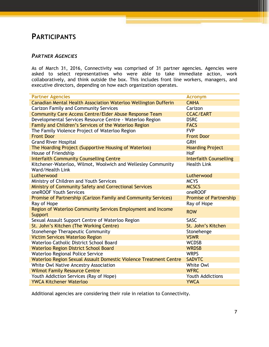# <span id="page-7-0"></span>**PARTICIPANTS**

## <span id="page-7-1"></span>*PARTNER AGENCIES*

As of March 31, 2016, Connectivity was comprised of 31 partner agencies. Agencies were asked to select representatives who were able to take immediate action, work collaboratively, and think outside the box. This includes front line workers, managers, and executive directors, depending on how each organization operates.

| <b>Partner Agencies</b>                                           | <b>Acronym</b>                |
|-------------------------------------------------------------------|-------------------------------|
| Canadian Mental Health Association Waterloo Wellington Dufferin   | <b>CMHA</b>                   |
| <b>Carizon Family and Community Services</b>                      | Carizon                       |
| <b>Community Care Access Centre/Elder Abuse Response Team</b>     | <b>CCAC/EART</b>              |
| Developmental Services Resource Centre - Waterloo Region          | <b>DSRC</b>                   |
| Family and Children's Services of the Waterloo Region             | <b>FACS</b>                   |
| The Family Violence Project of Waterloo Region                    | <b>FVP</b>                    |
| <b>Front Door</b>                                                 | <b>Front Door</b>             |
| <b>Grand River Hospital</b>                                       | <b>GRH</b>                    |
| The Hoarding Project (Supportive Housing of Waterloo)             | <b>Hoarding Project</b>       |
| House of Friendship                                               | HoF                           |
| <b>Interfaith Community Counselling Centre</b>                    | <b>Interfaith Counselling</b> |
| Kitchener-Waterloo, Wilmot, Woolwich and Wellesley Community      | <b>Health Link</b>            |
| Ward/Health Link                                                  |                               |
| Lutherwood                                                        | Lutherwood                    |
| Ministry of Children and Youth Services                           | <b>MCYS</b>                   |
| Ministry of Community Safety and Correctional Services            | <b>MCSCS</b>                  |
| oneROOF Youth Services                                            | oneROOF                       |
| Promise of Partnership (Carizon Family and Community Services)    | <b>Promise of Partnership</b> |
| Ray of Hope                                                       | Ray of Hope                   |
| Region of Waterloo Community Services Employment and Income       | <b>ROW</b>                    |
| Support                                                           |                               |
| Sexual Assault Support Centre of Waterloo Region                  | <b>SASC</b>                   |
| St. John's Kitchen (The Working Centre)                           | St. John's Kitchen            |
| Stonehenge Therapeutic Community                                  | Stonehenge                    |
| <b>Victim Services Waterloo Region</b>                            | <b>VSWR</b>                   |
| Waterloo Catholic District School Board                           | <b>WCDSB</b>                  |
| <b>Waterloo Region District School Board</b>                      | <b>WRDSB</b>                  |
| Waterloo Regional Police Service                                  | <b>WRPS</b>                   |
| Waterloo Region Sexual Assault Domestic Violence Treatment Centre | <b>SADVTC</b>                 |
| White Owl Native Ancestry Association                             | White Owl                     |
| <b>Wilmot Family Resource Centre</b>                              | <b>WFRC</b>                   |
| Youth Addiction Services (Ray of Hope)                            | <b>Youth Addictions</b>       |
| <b>YWCA Kitchener Waterloo</b>                                    | <b>YWCA</b>                   |

Additional agencies are considering their role in relation to Connectivity.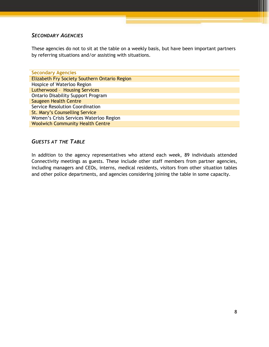## <span id="page-8-0"></span>*SECONDARY AGENCIES*

These agencies do not to sit at the table on a weekly basis, but have been important partners by referring situations and/or assisting with situations.

| <b>Secondary Agencies</b>                     |  |  |  |  |  |  |  |
|-----------------------------------------------|--|--|--|--|--|--|--|
| Elizabeth Fry Society Southern Ontario Region |  |  |  |  |  |  |  |
| Hospice of Waterloo Region                    |  |  |  |  |  |  |  |
| Lutherwood - Housing Services                 |  |  |  |  |  |  |  |
| <b>Ontario Disability Support Program</b>     |  |  |  |  |  |  |  |
| Saugeen Health Centre                         |  |  |  |  |  |  |  |
| Service Resolution Coordination               |  |  |  |  |  |  |  |
| St. Mary's Counselling Service                |  |  |  |  |  |  |  |
| Women's Crisis Services Waterloo Region       |  |  |  |  |  |  |  |
| <b>Woolwich Community Health Centre</b>       |  |  |  |  |  |  |  |

## <span id="page-8-1"></span>*GUESTS AT THE TABLE*

In addition to the agency representatives who attend each week, 89 individuals attended Connectivity meetings as guests. These include other staff members from partner agencies, including managers and CEOs, interns, medical residents, visitors from other situation tables and other police departments, and agencies considering joining the table in some capacity.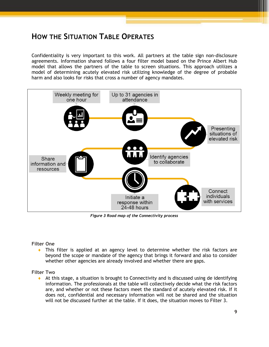# <span id="page-9-0"></span>**HOW THE SITUATION TABLE OPERATES**

Confidentiality is very important to this work. All partners at the table sign non-disclosure agreements. Information shared follows a four filter model based on the Prince Albert Hub model that allows the partners of the table to screen situations. This approach utilizes a model of determining acutely elevated risk utilizing knowledge of the degree of probable harm and also looks for risks that cross a number of agency mandates.



*Figure 3 Road map of the Connectivity process*

**Filter One**

 This filter is applied at an agency level to determine whether the risk factors are beyond the scope or mandate of the agency that brings it forward and also to consider whether other agencies are already involved and whether there are gaps.

**Filter Two**

 At this stage, a situation is brought to Connectivity and is discussed using de identifying information. The professionals at the table will collectively decide what the risk factors are, and whether or not these factors meet the standard of acutely elevated risk. If it does not, confidential and necessary information will not be shared and the situation will not be discussed further at the table. If it does, the situation moves to Filter 3.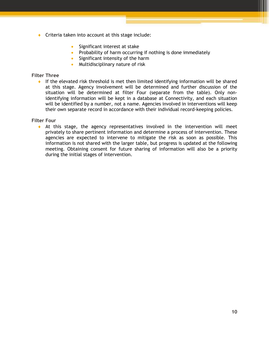- ◆ Criteria taken into account at this stage include:
	- **Significant interest at stake**
	- Probability of harm occurring if nothing is done immediately
	- Significant intensity of the harm
	- **Multidisciplinary nature of risk**

#### **Filter Three**

 If the elevated risk threshold is met then limited identifying information will be shared at this stage. Agency involvement will be determined and further discussion of the situation will be determined at filter Four (separate from the table). Only nonidentifying information will be kept in a database at Connectivity, and each situation will be identified by a number, not a name. Agencies involved in interventions will keep their own separate record in accordance with their individual record-keeping policies.

#### **Filter Four**

 At this stage, the agency representatives involved in the intervention will meet privately to share pertinent information and determine a process of intervention. These agencies are expected to intervene to mitigate the risk as soon as possible. This information is not shared with the larger table, but progress is updated at the following meeting. Obtaining consent for future sharing of information will also be a priority during the initial stages of intervention.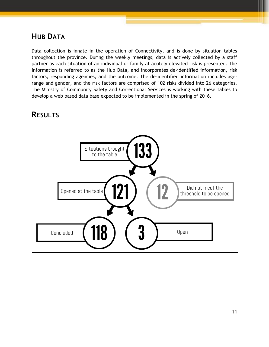# <span id="page-11-0"></span>**HUB DATA**

Data collection is innate in the operation of Connectivity, and is done by situation tables throughout the province. During the weekly meetings, data is actively collected by a staff partner as each situation of an individual or family at acutely elevated risk is presented. The information is referred to as the Hub Data, and incorporates de-identified information, risk factors, responding agencies, and the outcome. The de-identified information includes agerange and gender, and the risk factors are comprised of 102 risks divided into 26 categories. The Ministry of Community Safety and Correctional Services is working with these tables to develop a web based data base expected to be implemented in the spring of 2016.

# <span id="page-11-1"></span>**RESULTS**

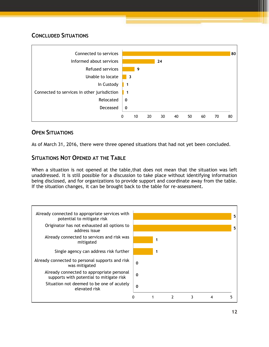## **CONCLUDED SITUATIONS**



## **OPEN SITUATIONS**

As of March 31, 2016, there were three opened situations that had not yet been concluded.

## **SITUATIONS NOT OPENED AT THE TABLE**

When a situation is not opened at the table,that does not mean that the situation was left unaddressed. It is still possible for a discussion to take place without identifying information being disclosed, and for organizations to provide support and coordinate away from the table. If the situation changes, it can be brought back to the table for re-assessment.

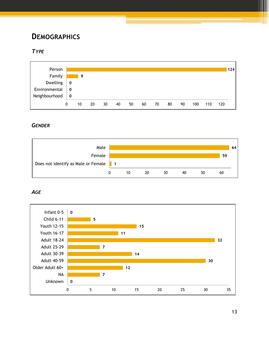# <span id="page-13-0"></span>**DEMOGRAPHICS**

## *TYPE*



## *GENDER*



*AGE*

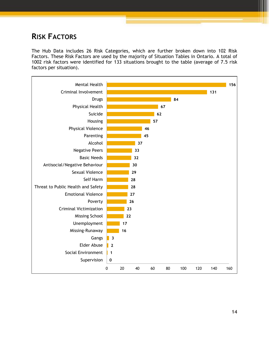# <span id="page-14-0"></span>**RISK FACTORS**

The Hub Data includes 26 Risk Categories, which are further broken down into 102 Risk Factors. These Risk Factors are used by the majority of Situation Tables in Ontario. A total of 1002 risk factors were identified for 133 situations brought to the table (average of 7.5 risk factors per situation).

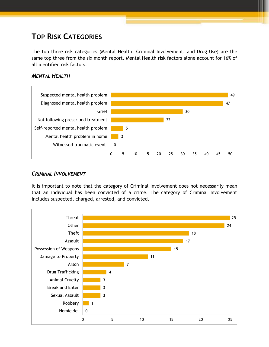# <span id="page-15-0"></span>**TOP RISK CATEGORIES**

The top three risk categories (Mental Health, Criminal Involvement, and Drug Use) are the same top three from the six month report. Mental Health risk factors alone account for 16% of all identified risk factors.

### *MENTAL HEALTH*



### *CRIMINAL INVOLVEMENT*

It is important to note that the category of Criminal Involvement does not necessarily mean that an individual has been convicted of a crime. The category of Criminal Involvement includes suspected, charged, arrested, and convicted.

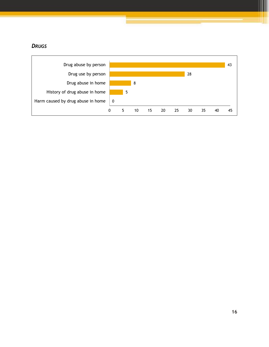## *DRUGS*

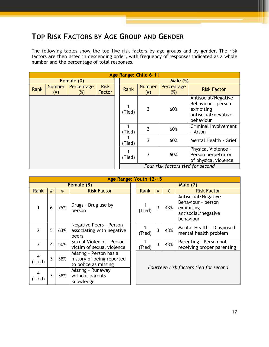# <span id="page-17-0"></span>**TOP RISK FACTORS BY AGE GROUP AND GENDER**

The following tables show the top five risk factors by age groups and by gender. The risk factors are then listed in descending order, with frequency of responses indicated as a whole number and the percentage of total responses.

|      |                       |                      |                       |        | Age Range: Child 6-11 |                                   |                                                                                             |  |  |  |  |
|------|-----------------------|----------------------|-----------------------|--------|-----------------------|-----------------------------------|---------------------------------------------------------------------------------------------|--|--|--|--|
|      |                       | Female (0)           |                       |        | <b>Male (5)</b>       |                                   |                                                                                             |  |  |  |  |
| Rank | <b>Number</b><br>(# ) | Percentage<br>$(\%)$ | <b>Risk</b><br>Factor | Rank   | <b>Number</b><br>(# ) | Percentage<br>$(\%)$              | <b>Risk Factor</b>                                                                          |  |  |  |  |
|      |                       |                      |                       | (Tied) | 3                     | 60%                               | Antisocial/Negative<br>Behaviour - person<br>exhibiting<br>antisocial/negative<br>behaviour |  |  |  |  |
|      |                       |                      |                       | (Tied) | 3                     | 60%                               | Criminal Involvement<br>- Arson                                                             |  |  |  |  |
|      |                       |                      |                       | (Tied) | 3                     | 60%                               | Mental Health - Grief                                                                       |  |  |  |  |
|      |                       |                      |                       | (Tied) | 3                     | 60%                               | Physical Violence -<br>Person perpetrator<br>of physical violence                           |  |  |  |  |
|      |                       |                      |                       |        |                       | Four risk factors tied for second |                                                                                             |  |  |  |  |

|                |   |     | Age Range: Youth 12-15                                                      |  |                 |   |     |                                                                                             |  |  |
|----------------|---|-----|-----------------------------------------------------------------------------|--|-----------------|---|-----|---------------------------------------------------------------------------------------------|--|--|
|                |   |     | Female (8)                                                                  |  | <b>Male (7)</b> |   |     |                                                                                             |  |  |
| Rank           | # | %   | <b>Risk Factor</b>                                                          |  | Rank            | # | %   | <b>Risk Factor</b>                                                                          |  |  |
|                | 6 | 75% | Drugs - Drug use by<br>person                                               |  | (Tied)          | 3 | 43% | Antisocial/Negative<br>Behaviour - person<br>exhibiting<br>antisocial/negative<br>behaviour |  |  |
| $\overline{2}$ | 5 | 63% | Negative Peers - Person<br>associating with negative<br>peers               |  | (Tied)          | 3 | 43% | Mental Health - Diagnosed<br>mental health problem                                          |  |  |
| 3              | 4 | 50% | Sexual Violence - Person<br>victim of sexual violence                       |  | (Tied)          | 3 | 43% | Parenting - Person not<br>receiving proper parenting                                        |  |  |
| 4<br>(Tied)    | 3 | 38% | Missing - Person has a<br>history of being reported<br>to police as missing |  |                 |   |     |                                                                                             |  |  |
| 4<br>(Tied)    | 3 | 38% | Missing - Runaway<br>without parents<br>knowledge                           |  |                 |   |     | Fourteen risk factors tied for second                                                       |  |  |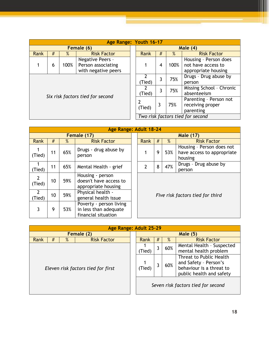|                                  |   |      | Age Range: Youth 16-17                                        |  |            |   |                                  |                                                                    |  |  |
|----------------------------------|---|------|---------------------------------------------------------------|--|------------|---|----------------------------------|--------------------------------------------------------------------|--|--|
|                                  |   |      | Female (6)                                                    |  | Male $(4)$ |   |                                  |                                                                    |  |  |
| Rank                             | # | $\%$ | <b>Risk Factor</b>                                            |  | Rank       | # | %                                | <b>Risk Factor</b>                                                 |  |  |
|                                  | 6 | 100% | Negative Peers -<br>Person associating<br>with negative peers |  |            | 4 | 100%                             | Housing - Person does<br>not have access to<br>appropriate housing |  |  |
|                                  |   |      |                                                               |  | Tied)      | 3 | 75%                              | Drugs - Drug abuse by<br>person                                    |  |  |
|                                  |   |      |                                                               |  | (Tied)     | 3 | 75%                              | Missing School - Chronic<br>absenteeism                            |  |  |
| Six risk factors tied for second |   |      |                                                               |  | (Tied)     | 3 | 75%                              | Parenting - Person not<br>receiving proper<br>parenting            |  |  |
|                                  |   |      |                                                               |  |            |   | Two risk factors tied for second |                                                                    |  |  |

|                          |             |      | Age Range: Adult 18-24                                                  |  |                                  |   |                  |                                                                    |  |  |  |
|--------------------------|-------------|------|-------------------------------------------------------------------------|--|----------------------------------|---|------------------|--------------------------------------------------------------------|--|--|--|
|                          | Female (17) |      |                                                                         |  |                                  |   | <b>Male (17)</b> |                                                                    |  |  |  |
| Rank                     | #           | $\%$ | <b>Risk Factor</b>                                                      |  | <b>Rank</b>                      | # | $\%$             | <b>Risk Factor</b>                                                 |  |  |  |
| (Tied)                   | 11          | 65%  | Drugs - drug abuse by<br>person                                         |  |                                  | 9 | 53%              | Housing - Person does not<br>have access to appropriate<br>housing |  |  |  |
| (Tied)                   | 11          | 65%  | Mental Health - grief                                                   |  | 2                                | 8 | 47%              | Drugs - Drug abuse by<br>person                                    |  |  |  |
| $\overline{2}$<br>(Tied) | 10          | 59%  | Housing - person<br>doesn't have access to<br>appropriate housing       |  | Five risk factors tied for third |   |                  |                                                                    |  |  |  |
| $\overline{2}$<br>Tied)  | 10          | 59%  | Physical health -<br>general health issue                               |  |                                  |   |                  |                                                                    |  |  |  |
| 3                        | 9           | 53%  | Poverty - person living<br>in less than adequate<br>financial situation |  |                                  |   |                  |                                                                    |  |  |  |

|                                    |   |   | Age Range: Adult 25-29 |  |             |                                    |     |                                                                                                          |
|------------------------------------|---|---|------------------------|--|-------------|------------------------------------|-----|----------------------------------------------------------------------------------------------------------|
| Female (2)                         |   |   |                        |  |             |                                    |     | Male $(5)$                                                                                               |
| Rank                               | # | % | <b>Risk Factor</b>     |  | Rank        | $\%$<br>#                          |     | <b>Risk Factor</b>                                                                                       |
|                                    |   |   |                        |  |             |                                    | 60% | Mental Health - Suspected<br>mental health problem                                                       |
| Eleven risk factors tied for first |   |   |                        |  | 1<br>(Tied) |                                    | 60% | Threat to Public Health<br>and Safety - Person's<br>behaviour is a threat to<br>public health and safety |
|                                    |   |   |                        |  |             | Seven risk factors tied for second |     |                                                                                                          |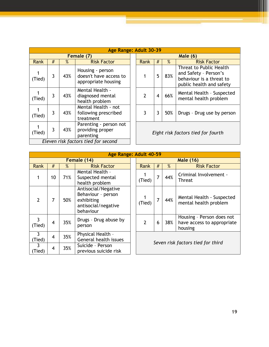|        |   |      | Age Range: Adult 30-39                                            |  |                                    |                |     |                                                                                                          |  |  |
|--------|---|------|-------------------------------------------------------------------|--|------------------------------------|----------------|-----|----------------------------------------------------------------------------------------------------------|--|--|
|        |   |      | Female (7)                                                        |  | <b>Male (6)</b>                    |                |     |                                                                                                          |  |  |
| Rank   | # | $\%$ | <b>Risk Factor</b>                                                |  | #<br>%<br>Rank                     |                |     | <b>Risk Factor</b>                                                                                       |  |  |
| (Tied) | 3 | 43%  | Housing - person<br>doesn't have access to<br>appropriate housing |  |                                    | 5              | 83% | Threat to Public Health<br>and Safety - Person's<br>behaviour is a threat to<br>public health and safety |  |  |
| (Tied) | 3 | 43%  | Mental Health -<br>diagnosed mental<br>health problem             |  | $\mathcal{P}$                      | $\overline{4}$ | 66% | Mental Health - Suspected<br>mental health problem                                                       |  |  |
| (Tied) | 3 | 43%  | Mental Health - not<br>following prescribed<br>treatment          |  | 3                                  | 3              | 50% | Drugs - Drug use by person                                                                               |  |  |
| (Tied) | 3 | 43%  | Parenting - person not<br>providing proper<br>parenting           |  | Eight risk factors tied for fourth |                |     |                                                                                                          |  |  |
|        |   |      | Eleven risk factors tied for second                               |  |                                    |                |     |                                                                                                          |  |  |

|                |                |      | Age Range: Adult 40-59                                                                      |  |                                   |                |                  |                                                                    |  |  |  |  |
|----------------|----------------|------|---------------------------------------------------------------------------------------------|--|-----------------------------------|----------------|------------------|--------------------------------------------------------------------|--|--|--|--|
|                | Female (14)    |      |                                                                                             |  |                                   |                | <b>Male (16)</b> |                                                                    |  |  |  |  |
| Rank           | $\#$           | $\%$ | <b>Risk Factor</b>                                                                          |  | Rank                              | #              | $\%$             | <b>Risk Factor</b>                                                 |  |  |  |  |
|                | 10             | 71%  | Mental Health -<br>Suspected mental<br>health problem                                       |  |                                   | $\overline{7}$ | 44%              | Criminal Involvement -<br>Threat                                   |  |  |  |  |
| $\overline{2}$ | 7              | 50%  | Antisocial/Negative<br>Behaviour - person<br>exhibiting<br>antisocial/negative<br>behaviour |  |                                   | $\overline{7}$ | 44%              | Mental Health - Suspected<br>mental health problem                 |  |  |  |  |
| 3<br>(Tied)    | 4              | 35%  | Drugs - Drug abuse by<br>person                                                             |  | $\overline{2}$                    | 6              | 38%              | Housing - Person does not<br>have access to appropriate<br>housing |  |  |  |  |
| 3<br>(Tied)    | $\overline{4}$ | 35%  | Physical Health -<br>General health issues                                                  |  | Seven risk factors tied for third |                |                  |                                                                    |  |  |  |  |
| 3<br>Tied)     | $\overline{4}$ | 35%  | Suicide - Person<br>previous suicide risk                                                   |  |                                   |                |                  |                                                                    |  |  |  |  |

║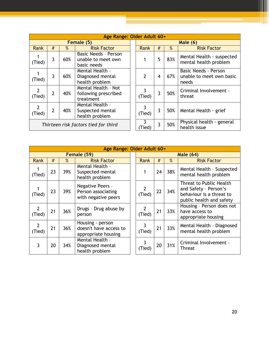|                                      |                |     | Age Range: Older Adult 60+                                |               |                |      |                                                          |
|--------------------------------------|----------------|-----|-----------------------------------------------------------|---------------|----------------|------|----------------------------------------------------------|
|                                      |                |     | Female (5)                                                |               |                |      | <b>Male (6)</b>                                          |
| Rank                                 | #              | %   | <b>Risk Factor</b>                                        | Rank          | #              | $\%$ | <b>Risk Factor</b>                                       |
| (Tied)                               | 3              | 60% | Basic Needs - Person<br>unable to meet own<br>basic needs |               | 5              | 83%  | Mental Health - sus<br>mental health prob                |
| (Tied)                               | 3              | 60% | Mental Health -<br>Diagnosed mental<br>health problem     | $\mathcal{P}$ | 4              | 67%  | <b>Basic Needs - Perso</b><br>unable to meet ow<br>needs |
| $\mathcal{P}$<br>(Tied)              | $\overline{2}$ | 40% | Mental Health - Not<br>following prescribed<br>treatment  | 3<br>(Tied)   | 3              | 50%  | <b>Criminal Involveme</b><br>threat                      |
| 2<br>(Tied)                          | $\overline{2}$ | 40% | Mental Health -<br>Suspected mental<br>health problem     | 3<br>(Tied)   | 3              | 50%  | Mental Health - gri                                      |
| Thirteen risk factors tied for third |                |     |                                                           | 3<br>(Tied)   | $\overline{3}$ | 50%  | Physical health - go<br>health issue                     |

|                | der Adult 60+  |      |                                                           |  |  |  |  |  |  |
|----------------|----------------|------|-----------------------------------------------------------|--|--|--|--|--|--|
| Male (6)       |                |      |                                                           |  |  |  |  |  |  |
| <b>Rank</b>    | #              | $\%$ | <b>Risk Factor</b>                                        |  |  |  |  |  |  |
| 1              | 5              | 83%  | Mental Health - suspected<br>mental health problem        |  |  |  |  |  |  |
| $\overline{2}$ | 4              | 67%  | Basic Needs - Person<br>unable to meet own basic<br>needs |  |  |  |  |  |  |
| 3<br>(Tied)    | 3              | 50%  | Criminal Involvement -<br>threat                          |  |  |  |  |  |  |
| 3<br>(Tied)    | $\overline{3}$ | 50%  | Mental Health - grief                                     |  |  |  |  |  |  |
| 3<br>Tied)     | 3              | 50%  | Physical health - general<br>health issue                 |  |  |  |  |  |  |

| Age Range: Older Adult 60+ |    |     |                                                                   |  |                          |    |      |                                                                                                          |
|----------------------------|----|-----|-------------------------------------------------------------------|--|--------------------------|----|------|----------------------------------------------------------------------------------------------------------|
| Female (59)                |    |     |                                                                   |  | <b>Male (64)</b>         |    |      |                                                                                                          |
| Rank                       | #  | %   | <b>Risk Factor</b>                                                |  | <b>Rank</b>              | #  | $\%$ | <b>Risk Factor</b>                                                                                       |
| (Tied)                     | 23 | 39% | Mental Health -<br>Suspected mental<br>health problem             |  |                          | 24 | 38%  | Mental Health - Suspected<br>mental health problem                                                       |
| (Tied)                     | 23 | 39% | Negative Peers -<br>Person associating<br>with negative peers     |  | (Tied)                   | 22 | 34%  | Threat to Public Health<br>and Safety - Person's<br>behaviour is a threat to<br>public health and safety |
| $\overline{2}$<br>(Tied)   | 21 | 36% | Drugs - Drug abuse by<br>person                                   |  | (Tied)                   | 21 | 33%  | Housing - Person does not<br>have access to<br>appropriate housing                                       |
| $\overline{2}$<br>(Tied)   | 21 | 36% | Housing - person<br>doesn't have access to<br>appropriate housing |  | $\overline{3}$<br>(Tied) | 21 | 33%  | Mental Health - Diagnosed<br>mental health problem                                                       |
| 3                          | 20 | 34% | Mental Health -<br>Diagnosed mental<br>health problem             |  | 3<br>(Tied)              | 20 | 31%  | Criminal Involvement -<br><b>Threat</b>                                                                  |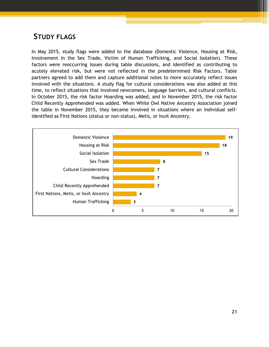# <span id="page-21-0"></span>**STUDY FLAGS**

In May 2015, study flags were added to the database (Domestic Violence, Housing at Risk, Involvement in the Sex Trade, Victim of Human Trafficking, and Social Isolation). These factors were reoccurring issues during table discussions, and identified as contributing to acutely elevated risk, but were not reflected in the predetermined Risk Factors. Table partners agreed to add them and capture additional notes to more accurately reflect issues involved with the situations. A study flag for cultural considerations was also added at this time, to reflect situations that involved newcomers, language barriers, and cultural conflicts. In October 2015, the risk factor Hoarding was added, and in November 2015, the risk factor Child Recently Apprehended was added. When White Owl Native Ancestry Association joined the table in November 2015, they became involved in situations where an individual selfidentified as First Nations (status or non-status), Metis, or Inuit Ancestry.

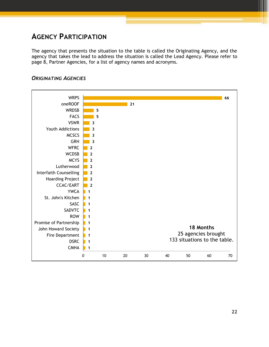# <span id="page-22-0"></span>**AGENCY PARTICIPATION**

The agency that presents the situation to the table is called the Originating Agency, and the agency that takes the lead to address the situation is called the Lead Agency. Please refer to page 8, Partner Agencies, for a list of agency names and acronyms.



### <span id="page-22-1"></span>*ORIGINATING AGENCIES*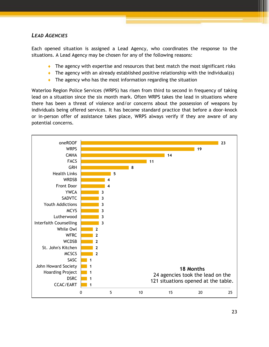## <span id="page-23-0"></span>*LEAD AGENCIES*

Each opened situation is assigned a Lead Agency, who coordinates the response to the situations. A Lead Agency may be chosen for any of the following reasons:

- The agency with expertise and resources that best match the most significant risks
- The agency with an already established positive relationship with the individual(s)
- $\bullet$  The agency who has the most information regarding the situation

Waterloo Region Police Services (WRPS) has risen from third to second in frequency of taking lead on a situation since the six month mark. Often WRPS takes the lead in situations where there has been a threat of violence and/or concerns about the possession of weapons by individuals being offered services. It has become standard practice that before a door-knock or in-person offer of assistance takes place, WRPS always verify if they are aware of any potential concerns.

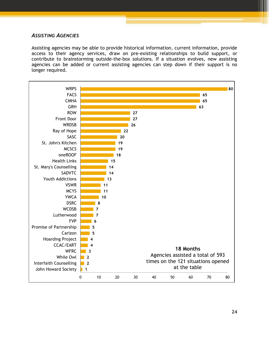#### <span id="page-24-0"></span>*ASSISTING AGENCIES*

Assisting agencies may be able to provide historical information, current information, provide access to their agency services, draw on pre-existing relationships to build support, or contribute to brainstorming outside-the-box solutions. If a situation evolves, new assisting agencies can be added or current assisting agencies can step down if their support is no longer required.